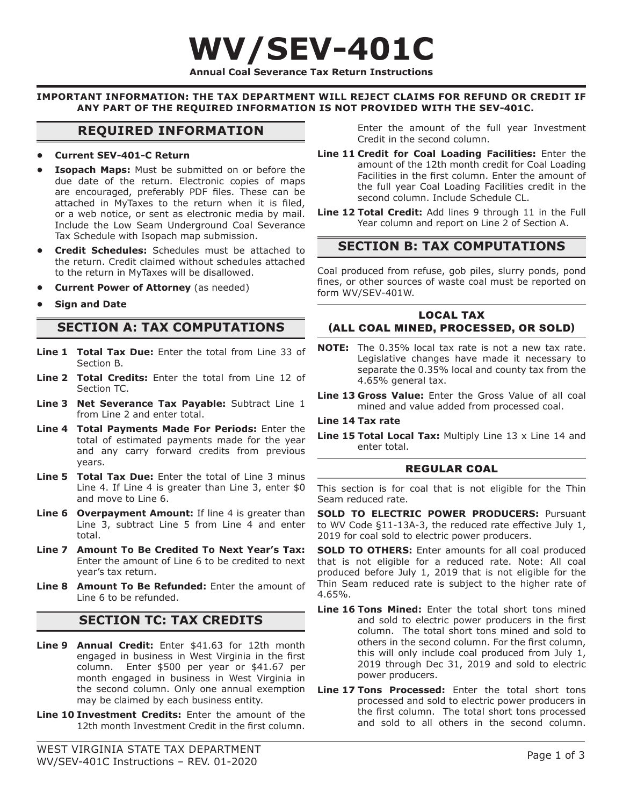# **WV/SEV-401C Annual Coal Severance Tax Return Instructions**

**IMPORTANT INFORMATION: THE TAX DEPARTMENT WILL REJECT CLAIMS FOR REFUND OR CREDIT IF ANY PART OF THE REQUIRED INFORMATION IS NOT PROVIDED WITH THE SEV-401C.**

# **REQUIRED INFORMATION**

#### **• Current SEV-401-C Return**

- **Isopach Maps:** Must be submitted on or before the due date of the return. Electronic copies of maps are encouraged, preferably PDF files. These can be attached in MyTaxes to the return when it is filed, or a web notice, or sent as electronic media by mail. Include the Low Seam Underground Coal Severance Tax Schedule with Isopach map submission.
- **Credit Schedules:** Schedules must be attached to the return. Credit claimed without schedules attached to the return in MyTaxes will be disallowed.
- **Current Power of Attorney** (as needed)
- **Sign and Date**

# **SECTION A: TAX COMPUTATIONS**

- **Line 1 Total Tax Due:** Enter the total from Line 33 of Section B.
- **Line 2 Total Credits:** Enter the total from Line 12 of Section TC.
- **Line 3 Net Severance Tax Payable:** Subtract Line 1 from Line 2 and enter total.
- **Line 4 Total Payments Made For Periods:** Enter the total of estimated payments made for the year and any carry forward credits from previous years.
- Line 5 Total Tax Due: Enter the total of Line 3 minus Line 4. If Line 4 is greater than Line 3, enter \$0 and move to Line 6.
- **Line 6 Overpayment Amount:** If line 4 is greater than Line 3, subtract Line 5 from Line 4 and enter total.
- **Line 7 Amount To Be Credited To Next Year's Tax:**  Enter the amount of Line 6 to be credited to next year's tax return.
- **Line 8 Amount To Be Refunded:** Enter the amount of Line 6 to be refunded.

# **SECTION TC: TAX CREDITS**

- Line 9 Annual Credit: Enter \$41.63 for 12th month engaged in business in West Virginia in the first column. Enter \$500 per year or \$41.67 per month engaged in business in West Virginia in the second column. Only one annual exemption may be claimed by each business entity.
- **Line 10 Investment Credits:** Enter the amount of the 12th month Investment Credit in the first column.

Enter the amount of the full year Investment Credit in the second column.

- **Line 11 Credit for Coal Loading Facilities:** Enter the amount of the 12th month credit for Coal Loading Facilities in the first column. Enter the amount of the full year Coal Loading Facilities credit in the second column. Include Schedule CL.
- **Line 12 Total Credit:** Add lines 9 through 11 in the Full Year column and report on Line 2 of Section A.

# **SECTION B: TAX COMPUTATIONS**

Coal produced from refuse, gob piles, slurry ponds, pond fines, or other sources of waste coal must be reported on form WV/SEV-401W.

# LOCAL TAX (ALL COAL MINED, PROCESSED, OR SOLD)

- **NOTE:** The 0.35% local tax rate is not a new tax rate. Legislative changes have made it necessary to separate the 0.35% local and county tax from the 4.65% general tax.
- **Line 13 Gross Value:** Enter the Gross Value of all coal mined and value added from processed coal.

#### **Line 14 Tax rate**

**Line 15 Total Local Tax:** Multiply Line 13 x Line 14 and enter total.

#### REGULAR COAL

This section is for coal that is not eligible for the Thin Seam reduced rate.

**SOLD TO ELECTRIC POWER PRODUCERS:** Pursuant to WV Code §11-13A-3, the reduced rate effective July 1, 2019 for coal sold to electric power producers.

**SOLD TO OTHERS:** Enter amounts for all coal produced that is not eligible for a reduced rate. Note: All coal produced before July 1, 2019 that is not eligible for the Thin Seam reduced rate is subject to the higher rate of 4.65%.

- **Line 16 Tons Mined:** Enter the total short tons mined and sold to electric power producers in the first column. The total short tons mined and sold to others in the second column. For the first column, this will only include coal produced from July 1, 2019 through Dec 31, 2019 and sold to electric power producers.
- **Line 17 Tons Processed:** Enter the total short tons processed and sold to electric power producers in the first column. The total short tons processed and sold to all others in the second column.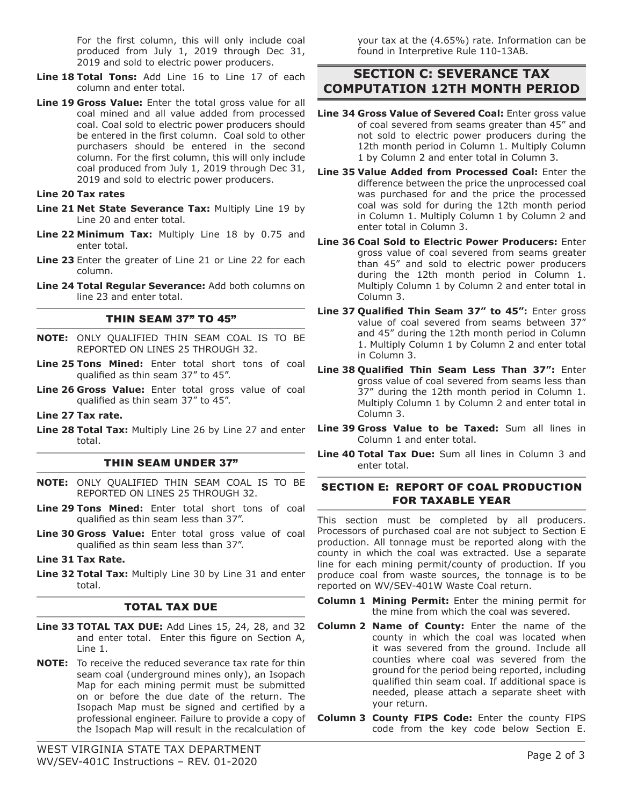For the first column, this will only include coal produced from July 1, 2019 through Dec 31, 2019 and sold to electric power producers.

- Line 18 Total Tons: Add Line 16 to Line 17 of each column and enter total.
- **Line 19 Gross Value:** Enter the total gross value for all coal mined and all value added from processed coal. Coal sold to electric power producers should be entered in the first column. Coal sold to other purchasers should be entered in the second column. For the first column, this will only include coal produced from July 1, 2019 through Dec 31, 2019 and sold to electric power producers.

#### **Line 20 Tax rates**

- **Line 21 Net State Severance Tax:** Multiply Line 19 by Line 20 and enter total.
- Line 22 Minimum Tax: Multiply Line 18 by 0.75 and enter total.
- **Line 23** Enter the greater of Line 21 or Line 22 for each column.
- **Line 24 Total Regular Severance:** Add both columns on line 23 and enter total.

#### THIN SEAM 37" TO 45"

- **NOTE:** ONLY QUALIFIED THIN SEAM COAL IS TO BE REPORTED ON LINES 25 THROUGH 32.
- **Line 25 Tons Mined:** Enter total short tons of coal qualified as thin seam 37" to 45".
- **Line 26 Gross Value:** Enter total gross value of coal qualified as thin seam 37" to 45".
- **Line 27 Tax rate.**
- **Line 28 Total Tax:** Multiply Line 26 by Line 27 and enter total.

#### THIN SEAM UNDER 37"

- **NOTE:** ONLY QUALIFIED THIN SEAM COAL IS TO BE REPORTED ON LINES 25 THROUGH 32.
- **Line 29 Tons Mined:** Enter total short tons of coal qualified as thin seam less than 37".
- **Line 30 Gross Value:** Enter total gross value of coal qualified as thin seam less than 37".
- **Line 31 Tax Rate.**
- **Line 32 Total Tax:** Multiply Line 30 by Line 31 and enter total.

### TOTAL TAX DUE

- **Line 33 TOTAL TAX DUE:** Add Lines 15, 24, 28, and 32 and enter total. Enter this figure on Section A, Line 1.
- **NOTE:** To receive the reduced severance tax rate for thin seam coal (underground mines only), an Isopach Map for each mining permit must be submitted on or before the due date of the return. The Isopach Map must be signed and certified by a professional engineer. Failure to provide a copy of the Isopach Map will result in the recalculation of

your tax at the (4.65%) rate. Information can be found in Interpretive Rule 110-13AB.

# **SECTION C: SEVERANCE TAX COMPUTATION 12TH MONTH PERIOD**

- **Line 34 Gross Value of Severed Coal:** Enter gross value of coal severed from seams greater than 45" and not sold to electric power producers during the 12th month period in Column 1. Multiply Column 1 by Column 2 and enter total in Column 3.
- **Line 35 Value Added from Processed Coal:** Enter the difference between the price the unprocessed coal was purchased for and the price the processed coal was sold for during the 12th month period in Column 1. Multiply Column 1 by Column 2 and enter total in Column 3.
- **Line 36 Coal Sold to Electric Power Producers:** Enter gross value of coal severed from seams greater than 45" and sold to electric power producers during the 12th month period in Column 1. Multiply Column 1 by Column 2 and enter total in Column 3.
- Line 37 Qualified Thin Seam 37" to 45": Enter gross value of coal severed from seams between 37" and 45" during the 12th month period in Column 1. Multiply Column 1 by Column 2 and enter total in Column 3.
- Line 38 Qualified Thin Seam Less Than 37": Enter gross value of coal severed from seams less than 37" during the 12th month period in Column 1. Multiply Column 1 by Column 2 and enter total in Column 3.
- **Line 39 Gross Value to be Taxed:** Sum all lines in Column 1 and enter total.
- **Line 40 Total Tax Due:** Sum all lines in Column 3 and enter total.

# SECTION E: REPORT OF COAL PRODUCTION FOR TAXABLE YEAR

This section must be completed by all producers. Processors of purchased coal are not subject to Section E production. All tonnage must be reported along with the county in which the coal was extracted. Use a separate line for each mining permit/county of production. If you produce coal from waste sources, the tonnage is to be reported on WV/SEV-401W Waste Coal return.

- **Column 1 Mining Permit:** Enter the mining permit for the mine from which the coal was severed.
- **Column 2 Name of County:** Enter the name of the county in which the coal was located when it was severed from the ground. Include all counties where coal was severed from the ground for the period being reported, including qualified thin seam coal. If additional space is needed, please attach a separate sheet with your return.
- **Column 3 County FIPS Code:** Enter the county FIPS code from the key code below Section E.